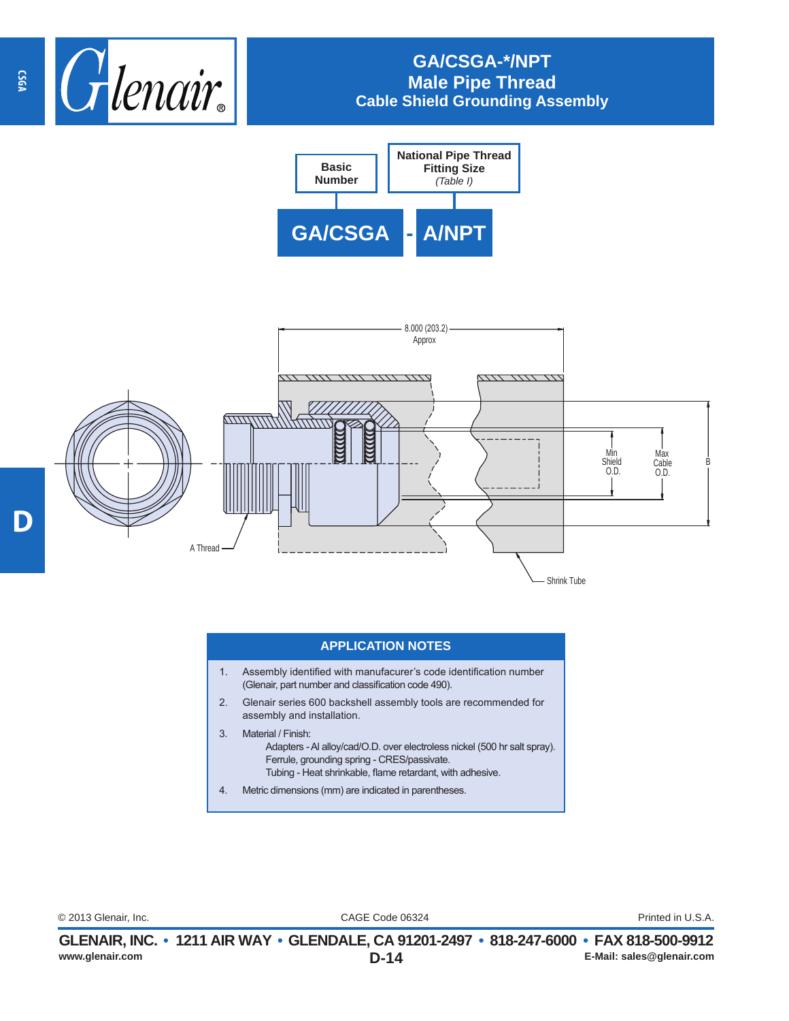

## **GA/CSGA-\*/NPT Male Pipe Thread Cable Shield Grounding Assembly**





## **APPLICATION NOTES**

- 1. Assembly identified with manufacurer's code identification number (Glenair, part number and classification code 490).
- 2. Glenair series 600 backshell assembly tools are recommended for assembly and installation.
- 3. Material / Finish: Adapters - Al alloy/cad/O.D. over electroless nickel (500 hr salt spray). Ferrule, grounding spring - CRES/passivate. Tubing - Heat shrinkable, flame retardant, with adhesive.
- 4. Metric dimensions (mm) are indicated in parentheses.

CAGE Code 06324 © 2013 Glenair, Inc. Printed in U.S.A.